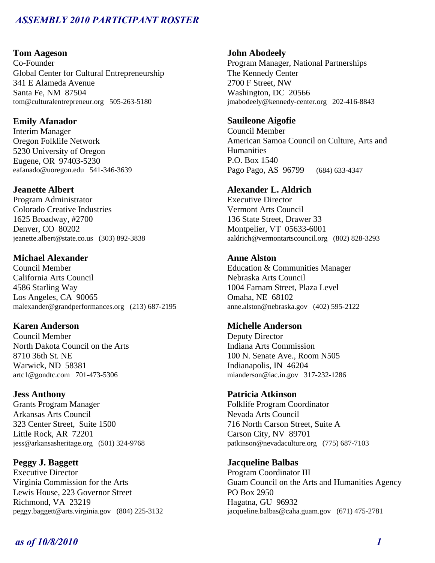### **Tom Aageson**

Co-Founder Global Center for Cultural Entrepreneurship 341 E Alameda Avenue Santa Fe, NM 87504 tom@culturalentrepreneur.org 505-263-5180

## **Emily Afanador**

Interim Manager Oregon Folklife Network 5230 University of Oregon Eugene, OR 97403-5230 eafanado@uoregon.edu 541-346-3639

### **Jeanette Albert**

Program Administrator Colorado Creative Industries 1625 Broadway, #2700 Denver, CO 80202 jeanette.albert@state.co.us (303) 892-3838

## **Michael Alexander**

Council Member California Arts Council 4586 Starling Way Los Angeles, CA 90065 malexander@grandperformances.org (213) 687-2195

## **Karen Anderson**

Council Member North Dakota Council on the Arts 8710 36th St. NE Warwick, ND 58381 artc1@gondtc.com 701-473-5306

### **Jess Anthony**

Grants Program Manager Arkansas Arts Council 323 Center Street, Suite 1500 Little Rock, AR 72201 jess@arkansasheritage.org (501) 324-9768

## **Peggy J. Baggett**

Executive Director Virginia Commission for the Arts Lewis House, 223 Governor Street Richmond, VA 23219 peggy.baggett@arts.virginia.gov (804) 225-3132

### **John Abodeely**

Program Manager, National Partnerships The Kennedy Center 2700 F Street, NW Washington, DC 20566 jmabodeely@kennedy-center.org 202-416-8843

## **Sauileone Aigofie**

Council Member American Samoa Council on Culture, Arts and **Humanities** P.O. Box 1540 Pago Pago, AS 96799 (684) 633-4347

## **Alexander L. Aldrich**

Executive Director Vermont Arts Council 136 State Street, Drawer 33 Montpelier, VT 05633-6001 aaldrich@vermontartscouncil.org (802) 828-3293

## **Anne Alston**

Education & Communities Manager Nebraska Arts Council 1004 Farnam Street, Plaza Level Omaha, NE 68102 anne.alston@nebraska.gov (402) 595-2122

## **Michelle Anderson**

Deputy Director Indiana Arts Commission 100 N. Senate Ave., Room N505 Indianapolis, IN 46204 mianderson@iac.in.gov 317-232-1286

### **Patricia Atkinson**

Folklife Program Coordinator Nevada Arts Council 716 North Carson Street, Suite A Carson City, NV 89701 patkinson@nevadaculture.org (775) 687-7103

### **Jacqueline Balbas**

Program Coordinator III Guam Council on the Arts and Humanities Agency PO Box 2950 Hagatna, GU 96932 jacqueline.balbas@caha.guam.gov (671) 475-2781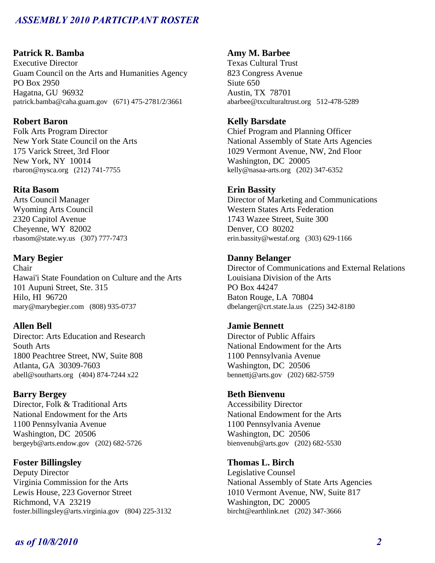## **Patrick R. Bamba**

Executive Director Guam Council on the Arts and Humanities Agency PO Box 2950 Hagatna, GU 96932 patrick.bamba@caha.guam.gov (671) 475-2781/2/3661

## **Robert Baron**

Folk Arts Program Director New York State Council on the Arts 175 Varick Street, 3rd Floor New York, NY 10014 rbaron@nysca.org (212) 741-7755

### **Rita Basom**

Arts Council Manager Wyoming Arts Council 2320 Capitol Avenue Cheyenne, WY 82002 rbasom@state.wy.us (307) 777-7473

## **Mary Begier**

Chair Hawai'i State Foundation on Culture and the Arts 101 Aupuni Street, Ste. 315 Hilo, HI 96720 mary@marybegier.com (808) 935-0737

## **Allen Bell**

Director: Arts Education and Research South Arts 1800 Peachtree Street, NW, Suite 808 Atlanta, GA 30309-7603 abell@southarts.org (404) 874-7244 x22

### **Barry Bergey**

Director, Folk & Traditional Arts National Endowment for the Arts 1100 Pennsylvania Avenue Washington, DC 20506 bergeyb@arts.endow.gov (202) 682-5726

## **Foster Billingsley**

Deputy Director Virginia Commission for the Arts Lewis House, 223 Governor Street Richmond, VA 23219 foster.billingsley@arts.virginia.gov (804) 225-3132

## **Amy M. Barbee**

Texas Cultural Trust 823 Congress Avenue Siute 650 Austin, TX 78701 abarbee@txculturaltrust.org 512-478-5289

## **Kelly Barsdate**

Chief Program and Planning Officer National Assembly of State Arts Agencies 1029 Vermont Avenue, NW, 2nd Floor Washington, DC 20005 kelly@nasaa-arts.org (202) 347-6352

### **Erin Bassity**

Director of Marketing and Communications Western States Arts Federation 1743 Wazee Street, Suite 300 Denver, CO 80202 erin.bassity@westaf.org (303) 629-1166

### **Danny Belanger**

Director of Communications and External Relations Louisiana Division of the Arts PO Box 44247 Baton Rouge, LA 70804 dbelanger@crt.state.la.us (225) 342-8180

### **Jamie Bennett**

Director of Public Affairs National Endowment for the Arts 1100 Pennsylvania Avenue Washington, DC 20506 bennettj@arts.gov (202) 682-5759

### **Beth Bienvenu**

Accessibility Director National Endowment for the Arts 1100 Pennsylvania Avenue Washington, DC 20506 bienvenub@arts.gov (202) 682-5530

## **Thomas L. Birch**

Legislative Counsel National Assembly of State Arts Agencies 1010 Vermont Avenue, NW, Suite 817 Washington, DC 20005 bircht@earthlink.net (202) 347-3666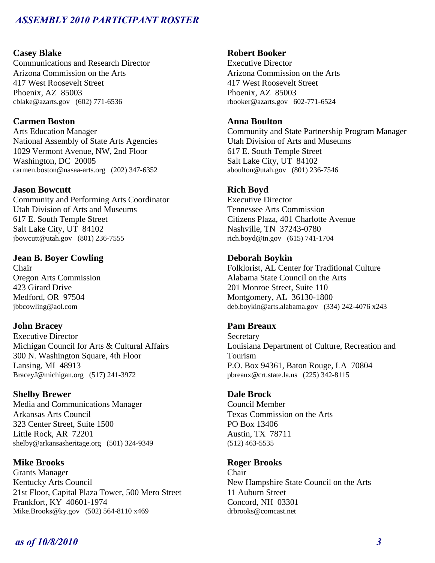## **Casey Blake**

Communications and Research Director Arizona Commission on the Arts 417 West Roosevelt Street Phoenix, AZ 85003 cblake@azarts.gov (602) 771-6536

## **Carmen Boston**

Arts Education Manager National Assembly of State Arts Agencies 1029 Vermont Avenue, NW, 2nd Floor Washington, DC 20005 carmen.boston@nasaa-arts.org (202) 347-6352

### **Jason Bowcutt**

Community and Performing Arts Coordinator Utah Division of Arts and Museums 617 E. South Temple Street Salt Lake City, UT 84102 jbowcutt@utah.gov (801) 236-7555

## **Jean B. Boyer Cowling**

Chair Oregon Arts Commission 423 Girard Drive Medford, OR 97504 jbbcowling@aol.com

### **John Bracey**

Executive Director Michigan Council for Arts & Cultural Affairs 300 N. Washington Square, 4th Floor Lansing, MI 48913 BraceyJ@michigan.org (517) 241-3972

### **Shelby Brewer**

Media and Communications Manager Arkansas Arts Council 323 Center Street, Suite 1500 Little Rock, AR 72201 shelby@arkansasheritage.org (501) 324-9349

## **Mike Brooks**

Grants Manager Kentucky Arts Council 21st Floor, Capital Plaza Tower, 500 Mero Street Frankfort, KY 40601-1974 Mike.Brooks@ky.gov (502) 564-8110 x469

### **Robert Booker**

Executive Director Arizona Commission on the Arts 417 West Roosevelt Street Phoenix, AZ 85003 rbooker@azarts.gov 602-771-6524

## **Anna Boulton**

Community and State Partnership Program Manager Utah Division of Arts and Museums 617 E. South Temple Street Salt Lake City, UT 84102 aboulton@utah.gov (801) 236-7546

## **Rich Boyd**

Executive Director Tennessee Arts Commission Citizens Plaza, 401 Charlotte Avenue Nashville, TN 37243-0780 rich.boyd@tn.gov (615) 741-1704

### **Deborah Boykin**

Folklorist, AL Center for Traditional Culture Alabama State Council on the Arts 201 Monroe Street, Suite 110 Montgomery, AL 36130-1800 deb.boykin@arts.alabama.gov (334) 242-4076 x243

### **Pam Breaux**

**Secretary** Louisiana Department of Culture, Recreation and Tourism P.O. Box 94361, Baton Rouge, LA 70804 pbreaux@crt.state.la.us (225) 342-8115

### **Dale Brock**

Council Member Texas Commission on the Arts PO Box 13406 Austin, TX 78711 (512) 463-5535

### **Roger Brooks**

Chair New Hampshire State Council on the Arts 11 Auburn Street Concord, NH 03301 drbrooks@comcast.net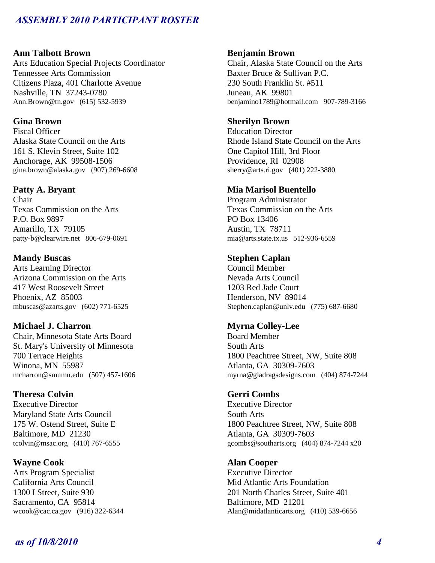## **Ann Talbott Brown**

Arts Education Special Projects Coordinator Tennessee Arts Commission Citizens Plaza, 401 Charlotte Avenue Nashville, TN 37243-0780 Ann.Brown@tn.gov (615) 532-5939

## **Gina Brown**

Fiscal Officer Alaska State Council on the Arts 161 S. Klevin Street, Suite 102 Anchorage, AK 99508-1506 gina.brown@alaska.gov (907) 269-6608

## **Patty A. Bryant**

Chair Texas Commission on the Arts P.O. Box 9897 Amarillo, TX 79105 patty-b@clearwire.net 806-679-0691

### **Mandy Buscas**

Arts Learning Director Arizona Commission on the Arts 417 West Roosevelt Street Phoenix, AZ 85003 mbuscas@azarts.gov (602) 771-6525

### **Michael J. Charron**

Chair, Minnesota State Arts Board St. Mary's University of Minnesota 700 Terrace Heights Winona, MN 55987 mcharron@smumn.edu (507) 457-1606

### **Theresa Colvin**

Executive Director Maryland State Arts Council 175 W. Ostend Street, Suite E Baltimore, MD 21230 tcolvin@msac.org (410) 767-6555

### **Wayne Cook**

Arts Program Specialist California Arts Council 1300 I Street, Suite 930 Sacramento, CA 95814 wcook@cac.ca.gov (916) 322-6344

### **Benjamin Brown**

Chair, Alaska State Council on the Arts Baxter Bruce & Sullivan P.C. 230 South Franklin St. #511 Juneau, AK 99801 benjamino1789@hotmail.com 907-789-3166

## **Sherilyn Brown**

Education Director Rhode Island State Council on the Arts One Capitol Hill, 3rd Floor Providence, RI 02908 sherry@arts.ri.gov (401) 222-3880

### **Mia Marisol Buentello**

Program Administrator Texas Commission on the Arts PO Box 13406 Austin, TX 78711 mia@arts.state.tx.us 512-936-6559

## **Stephen Caplan**

Council Member Nevada Arts Council 1203 Red Jade Court Henderson, NV 89014 Stephen.caplan@unlv.edu (775) 687-6680

## **Myrna Colley-Lee**

Board Member South Arts 1800 Peachtree Street, NW, Suite 808 Atlanta, GA 30309-7603 myrna@gladragsdesigns.com (404) 874-7244

### **Gerri Combs**

Executive Director South Arts 1800 Peachtree Street, NW, Suite 808 Atlanta, GA 30309-7603 gcombs@southarts.org (404) 874-7244 x20

### **Alan Cooper**

Executive Director Mid Atlantic Arts Foundation 201 North Charles Street, Suite 401 Baltimore, MD 21201 Alan@midatlanticarts.org (410) 539-6656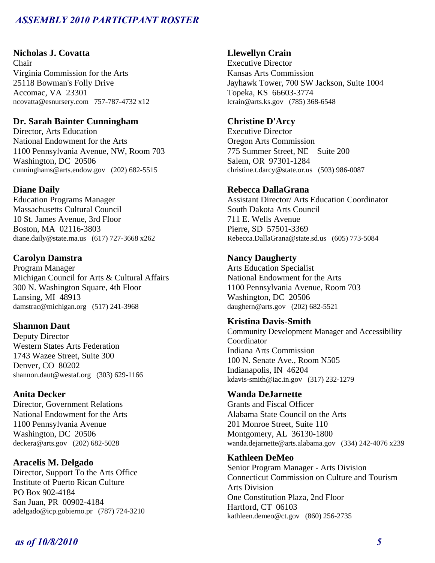## **Nicholas J. Covatta**

Chair Virginia Commission for the Arts 25118 Bowman's Folly Drive Accomac, VA 23301 ncovatta@esnursery.com 757-787-4732 x12

### **Dr. Sarah Bainter Cunningham**

Director, Arts Education National Endowment for the Arts 1100 Pennsylvania Avenue, NW, Room 703 Washington, DC 20506 cunninghams@arts.endow.gov (202) 682-5515

## **Diane Daily**

Education Programs Manager Massachusetts Cultural Council 10 St. James Avenue, 3rd Floor Boston, MA 02116-3803 diane.daily@state.ma.us (617) 727-3668 x262

## **Carolyn Damstra**

Program Manager Michigan Council for Arts & Cultural Affairs 300 N. Washington Square, 4th Floor Lansing, MI 48913 damstrac@michigan.org (517) 241-3968

### **Shannon Daut**

Deputy Director Western States Arts Federation 1743 Wazee Street, Suite 300 Denver, CO 80202 shannon.daut@westaf.org (303) 629-1166

### **Anita Decker**

Director, Government Relations National Endowment for the Arts 1100 Pennsylvania Avenue Washington, DC 20506 deckera@arts.gov (202) 682-5028

## **Aracelis M. Delgado**

Director, Support To the Arts Office Institute of Puerto Rican Culture PO Box 902-4184 San Juan, PR 00902-4184 adelgado@icp.gobierno.pr (787) 724-3210

### **Llewellyn Crain**

Executive Director Kansas Arts Commission Jayhawk Tower, 700 SW Jackson, Suite 1004 Topeka, KS 66603-3774 lcrain@arts.ks.gov (785) 368-6548

## **Christine D'Arcy**

Executive Director Oregon Arts Commission 775 Summer Street, NE Suite 200 Salem, OR 97301-1284 christine.t.darcy@state.or.us (503) 986-0087

### **Rebecca DallaGrana**

Assistant Director/ Arts Education Coordinator South Dakota Arts Council 711 E. Wells Avenue Pierre, SD 57501-3369 Rebecca.DallaGrana@state.sd.us (605) 773-5084

## **Nancy Daugherty**

Arts Education Specialist National Endowment for the Arts 1100 Pennsylvania Avenue, Room 703 Washington, DC 20506 daughern@arts.gov (202) 682-5521

## **Kristina Davis-Smith**

Community Development Manager and Accessibility Coordinator Indiana Arts Commission 100 N. Senate Ave., Room N505 Indianapolis, IN 46204 kdavis-smith@iac.in.gov (317) 232-1279

### **Wanda DeJarnette**

Grants and Fiscal Officer Alabama State Council on the Arts 201 Monroe Street, Suite 110 Montgomery, AL 36130-1800 wanda.dejarnette@arts.alabama.gov (334) 242-4076 x239

### **Kathleen DeMeo**

Senior Program Manager - Arts Division Connecticut Commission on Culture and Tourism Arts Division One Constitution Plaza, 2nd Floor Hartford, CT 06103 kathleen.demeo@ct.gov (860) 256-2735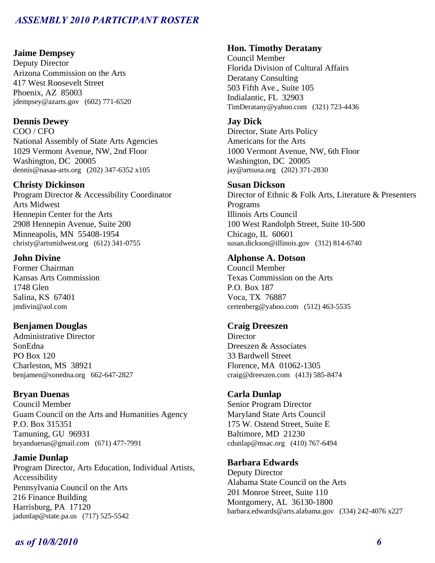### **Jaime Dempsey**

Deputy Director Arizona Commission on the Arts 417 West Roosevelt Street Phoenix, AZ 85003 jdempsey@azarts.gov (602) 771-6520

## **Dennis Dewey**

COO / CFO National Assembly of State Arts Agencies 1029 Vermont Avenue, NW, 2nd Floor Washington, DC 20005 dennis@nasaa-arts.org (202) 347-6352 x105

## **Christy Dickinson**

Program Director & Accessibility Coordinator Arts Midwest Hennepin Center for the Arts 2908 Hennepin Avenue, Suite 200 Minneapolis, MN 55408-1954 christy@artsmidwest.org (612) 341-0755

## **John Divine**

Former Chairman Kansas Arts Commission 1748 Glen Salina, KS 67401 jmdivin@aol.com

## **Benjamen Douglas**

Administrative Director SonEdna PO Box 120 Charleston, MS 38921 benjamen@sonedna.org 662-647-2827

### **Bryan Duenas**

Council Member Guam Council on the Arts and Humanities Agency P.O. Box 315351 Tamuning, GU 96931 bryanduenas@gmail.com (671) 477-7991

## **Jamie Dunlap**

Program Director, Arts Education, Individual Artists, Accessibility Pennsylvania Council on the Arts 216 Finance Building Harrisburg, PA 17120 jadunlap@state.pa.us (717) 525-5542

### **Hon. Timothy Deratany**

Council Member Florida Division of Cultural Affairs Deratany Consulting 503 Fifth Ave., Suite 105 Indialantic, FL 32903 TimDeratany@yahoo.com (321) 723-4436

### **Jay Dick**

Director, State Arts Policy Americans for the Arts 1000 Vermont Avenue, NW, 6th Floor Washington, DC 20005 jay@artsusa.org (202) 371-2830

## **Susan Dickson**

Director of Ethnic & Folk Arts, Literature & Presenters Programs Illinois Arts Council 100 West Randolph Street, Suite 10-500 Chicago, IL 60601 susan.dickson@illinois.gov (312) 814-6740

## **Alphonse A. Dotson**

Council Member Texas Commission on the Arts P.O. Box 187 Voca, TX 76887 certenberg@yahoo.com (512) 463-5535

## **Craig Dreeszen**

**Director** Dreeszen & Associates 33 Bardwell Street Florence, MA 01062-1305 craig@dreeszen.com (413) 585-8474

## **Carla Dunlap**

Senior Program Director Maryland State Arts Council 175 W. Ostend Street, Suite E Baltimore, MD 21230 cdunlap@msac.org (410) 767-6494

## **Barbara Edwards**

Deputy Director Alabama State Council on the Arts 201 Monroe Street, Suite 110 Montgomery, AL 36130-1800 barbara.edwards@arts.alabama.gov (334) 242-4076 x227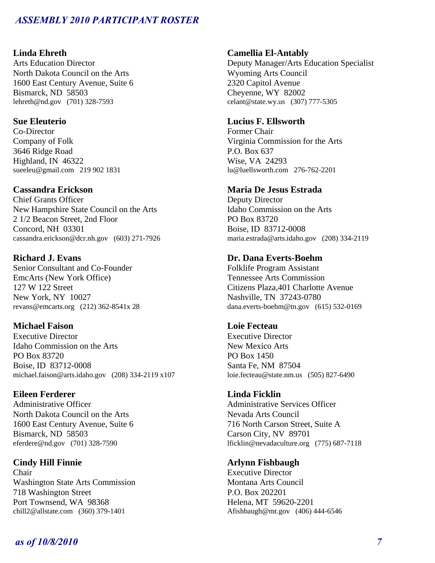## **Linda Ehreth**

Arts Education Director North Dakota Council on the Arts 1600 East Century Avenue, Suite 6 Bismarck, ND 58503 lehreth@nd.gov (701) 328-7593

### **Sue Eleuterio**

Co-Director Company of Folk 3646 Ridge Road Highland, IN 46322 sueeleu@gmail.com 219 902 1831

## **Cassandra Erickson**

Chief Grants Officer New Hampshire State Council on the Arts 2 1/2 Beacon Street, 2nd Floor Concord, NH 03301 cassandra.erickson@dcr.nh.gov (603) 271-7926

## **Richard J. Evans**

Senior Consultant and Co-Founder EmcArts (New York Office) 127 W 122 Street New York, NY 10027 revans@emcarts.org (212) 362-8541x 28

### **Michael Faison**

Executive Director Idaho Commission on the Arts PO Box 83720 Boise, ID 83712-0008 michael.faison@arts.idaho.gov (208) 334-2119 x107

### **Eileen Ferderer**

Administrative Officer North Dakota Council on the Arts 1600 East Century Avenue, Suite 6 Bismarck, ND 58503 eferdere@nd.gov (701) 328-7590

## **Cindy Hill Finnie**

Chair Washington State Arts Commission 718 Washington Street Port Townsend, WA 98368 chill2@allstate.com (360) 379-1401

### **Camellia El-Antably**

Deputy Manager/Arts Education Specialist Wyoming Arts Council 2320 Capitol Avenue Cheyenne, WY 82002 celant@state.wy.us (307) 777-5305

## **Lucius F. Ellsworth**

Former Chair Virginia Commission for the Arts P.O. Box 637 Wise, VA 24293 lu@luellsworth.com 276-762-2201

### **Maria De Jesus Estrada**

Deputy Director Idaho Commission on the Arts PO Box 83720 Boise, ID 83712-0008 maria.estrada@arts.idaho.gov (208) 334-2119

### **Dr. Dana Everts-Boehm**

Folklife Program Assistant Tennessee Arts Commission Citizens Plaza,401 Charlotte Avenue Nashville, TN 37243-0780 dana.everts-boehm@tn.gov (615) 532-0169

## **Loie Fecteau**

Executive Director New Mexico Arts PO Box 1450 Santa Fe, NM 87504 loie.fecteau@state.nm.us (505) 827-6490

### **Linda Ficklin**

Administrative Services Officer Nevada Arts Council 716 North Carson Street, Suite A Carson City, NV 89701 lficklin@nevadaculture.org (775) 687-7118

## **Arlynn Fishbaugh**

Executive Director Montana Arts Council P.O. Box 202201 Helena, MT 59620-2201 Afishbaugh@mt.gov (406) 444-6546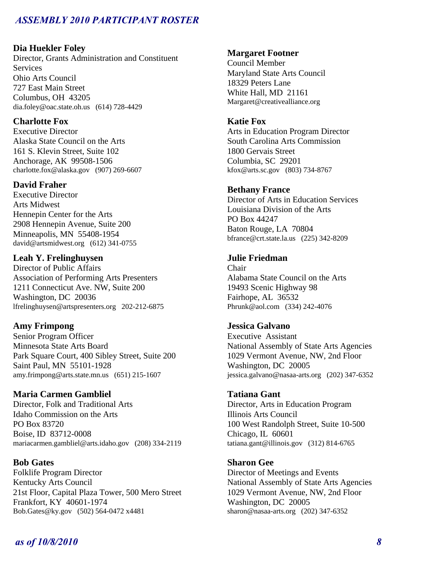## **Dia Huekler Foley**

Director, Grants Administration and Constituent **Services** Ohio Arts Council 727 East Main Street Columbus, OH 43205 dia.foley@oac.state.oh.us (614) 728-4429

## **Charlotte Fox**

Executive Director Alaska State Council on the Arts 161 S. Klevin Street, Suite 102 Anchorage, AK 99508-1506 charlotte.fox@alaska.gov (907) 269-6607

## **David Fraher**

Executive Director Arts Midwest Hennepin Center for the Arts 2908 Hennepin Avenue, Suite 200 Minneapolis, MN 55408-1954 david@artsmidwest.org (612) 341-0755

## **Leah Y. Frelinghuysen**

Director of Public Affairs Association of Performing Arts Presenters 1211 Connecticut Ave. NW, Suite 200 Washington, DC 20036 lfrelinghuysen@artspresenters.org 202-212-6875

## **Amy Frimpong**

Senior Program Officer Minnesota State Arts Board Park Square Court, 400 Sibley Street, Suite 200 Saint Paul, MN 55101-1928 amy.frimpong@arts.state.mn.us (651) 215-1607

### **Maria Carmen Gambliel**

Director, Folk and Traditional Arts Idaho Commission on the Arts PO Box 83720 Boise, ID 83712-0008 mariacarmen.gambliel@arts.idaho.gov (208) 334-2119

### **Bob Gates**

Folklife Program Director Kentucky Arts Council 21st Floor, Capital Plaza Tower, 500 Mero Street Frankfort, KY 40601-1974 Bob.Gates@ky.gov (502) 564-0472 x4481

### **Margaret Footner**

Council Member Maryland State Arts Council 18329 Peters Lane White Hall, MD 21161 Margaret@creativealliance.org

### **Katie Fox**

Arts in Education Program Director South Carolina Arts Commission 1800 Gervais Street Columbia, SC 29201 kfox@arts.sc.gov (803) 734-8767

#### **Bethany France**

Director of Arts in Education Services Louisiana Division of the Arts PO Box 44247 Baton Rouge, LA 70804 bfrance@crt.state.la.us (225) 342-8209

### **Julie Friedman**

Chair Alabama State Council on the Arts 19493 Scenic Highway 98 Fairhope, AL 36532 Phrunk@aol.com (334) 242-4076

### **Jessica Galvano**

Executive Assistant National Assembly of State Arts Agencies 1029 Vermont Avenue, NW, 2nd Floor Washington, DC 20005 jessica.galvano@nasaa-arts.org (202) 347-6352

#### **Tatiana Gant**

Director, Arts in Education Program Illinois Arts Council 100 West Randolph Street, Suite 10-500 Chicago, IL 60601 tatiana.gant@illinois.gov (312) 814-6765

## **Sharon Gee**

Director of Meetings and Events National Assembly of State Arts Agencies 1029 Vermont Avenue, NW, 2nd Floor Washington, DC 20005 sharon@nasaa-arts.org (202) 347-6352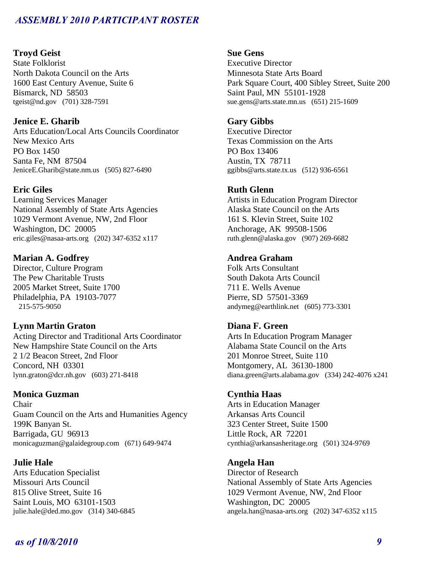### **Troyd Geist**

State Folklorist North Dakota Council on the Arts 1600 East Century Avenue, Suite 6 Bismarck, ND 58503 tgeist@nd.gov (701) 328-7591

## **Jenice E. Gharib**

Arts Education/Local Arts Councils Coordinator New Mexico Arts PO Box 1450 Santa Fe, NM 87504 JeniceE.Gharib@state.nm.us (505) 827-6490

### **Eric Giles**

Learning Services Manager National Assembly of State Arts Agencies 1029 Vermont Avenue, NW, 2nd Floor Washington, DC 20005 eric.giles@nasaa-arts.org (202) 347-6352 x117

### **Marian A. Godfrey**

Director, Culture Program The Pew Charitable Trusts 2005 Market Street, Suite 1700 Philadelphia, PA 19103-7077 215-575-9050

### **Lynn Martin Graton**

Acting Director and Traditional Arts Coordinator New Hampshire State Council on the Arts 2 1/2 Beacon Street, 2nd Floor Concord, NH 03301 lynn.graton@dcr.nh.gov (603) 271-8418

## **Monica Guzman**

Chair Guam Council on the Arts and Humanities Agency 199K Banyan St. Barrigada, GU 96913 monicaguzman@galaidegroup.com (671) 649-9474

## **Julie Hale**

Arts Education Specialist Missouri Arts Council 815 Olive Street, Suite 16 Saint Louis, MO 63101-1503 julie.hale@ded.mo.gov (314) 340-6845

## **Sue Gens**

Executive Director Minnesota State Arts Board Park Square Court, 400 Sibley Street, Suite 200 Saint Paul, MN 55101-1928 sue.gens@arts.state.mn.us (651) 215-1609

## **Gary Gibbs**

Executive Director Texas Commission on the Arts PO Box 13406 Austin, TX 78711 ggibbs@arts.state.tx.us (512) 936-6561

### **Ruth Glenn**

Artists in Education Program Director Alaska State Council on the Arts 161 S. Klevin Street, Suite 102 Anchorage, AK 99508-1506 ruth.glenn@alaska.gov (907) 269-6682

## **Andrea Graham**

Folk Arts Consultant South Dakota Arts Council 711 E. Wells Avenue Pierre, SD 57501-3369 andymeg@earthlink.net (605) 773-3301

### **Diana F. Green**

Arts In Education Program Manager Alabama State Council on the Arts 201 Monroe Street, Suite 110 Montgomery, AL 36130-1800 diana.green@arts.alabama.gov (334) 242-4076 x241

### **Cynthia Haas**

Arts in Education Manager Arkansas Arts Council 323 Center Street, Suite 1500 Little Rock, AR 72201 cynthia@arkansasheritage.org (501) 324-9769

### **Angela Han**

Director of Research National Assembly of State Arts Agencies 1029 Vermont Avenue, NW, 2nd Floor Washington, DC 20005 angela.han@nasaa-arts.org (202) 347-6352 x115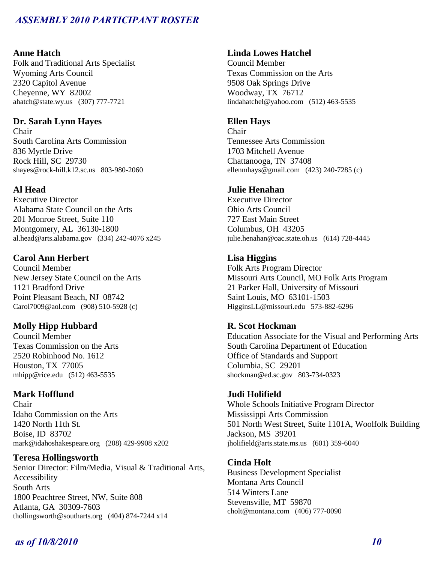### **Anne Hatch**

Folk and Traditional Arts Specialist Wyoming Arts Council 2320 Capitol Avenue Cheyenne, WY 82002 ahatch@state.wy.us (307) 777-7721

## **Dr. Sarah Lynn Hayes**

Chair South Carolina Arts Commission 836 Myrtle Drive Rock Hill, SC 29730 shayes@rock-hill.k12.sc.us 803-980-2060

### **Al Head**

Executive Director Alabama State Council on the Arts 201 Monroe Street, Suite 110 Montgomery, AL 36130-1800 al.head@arts.alabama.gov (334) 242-4076 x245

### **Carol Ann Herbert**

Council Member New Jersey State Council on the Arts 1121 Bradford Drive Point Pleasant Beach, NJ 08742 Carol7009@aol.com (908) 510-5928 (c)

### **Molly Hipp Hubbard**

Council Member Texas Commission on the Arts 2520 Robinhood No. 1612 Houston, TX 77005 mhipp@rice.edu (512) 463-5535

## **Mark Hofflund**

Chair Idaho Commission on the Arts 1420 North 11th St. Boise, ID 83702 mark@idahoshakespeare.org (208) 429-9908 x202

#### **Teresa Hollingsworth**

Senior Director: Film/Media, Visual & Traditional Arts, Accessibility South Arts 1800 Peachtree Street, NW, Suite 808 Atlanta, GA 30309-7603 thollingsworth@southarts.org (404) 874-7244 x14

### **Linda Lowes Hatchel**

Council Member Texas Commission on the Arts 9508 Oak Springs Drive Woodway, TX 76712 lindahatchel@yahoo.com (512) 463-5535

### **Ellen Hays**

Chair Tennessee Arts Commission 1703 Mitchell Avenue Chattanooga, TN 37408 ellenmhays@gmail.com (423) 240-7285 (c)

### **Julie Henahan**

Executive Director Ohio Arts Council 727 East Main Street Columbus, OH 43205 julie.henahan@oac.state.oh.us (614) 728-4445

## **Lisa Higgins**

Folk Arts Program Director Missouri Arts Council, MO Folk Arts Program 21 Parker Hall, University of Missouri Saint Louis, MO 63101-1503 HigginsLL@missouri.edu 573-882-6296

### **R. Scot Hockman**

Education Associate for the Visual and Performing Arts South Carolina Department of Education Office of Standards and Support Columbia, SC 29201 shockman@ed.sc.gov 803-734-0323

#### **Judi Holifield**

Whole Schools Initiative Program Director Mississippi Arts Commission 501 North West Street, Suite 1101A, Woolfolk Building Jackson, MS 39201 jholifield@arts.state.ms.us (601) 359-6040

### **Cinda Holt**

Business Development Specialist Montana Arts Council 514 Winters Lane Stevensville, MT 59870 cholt@montana.com (406) 777-0090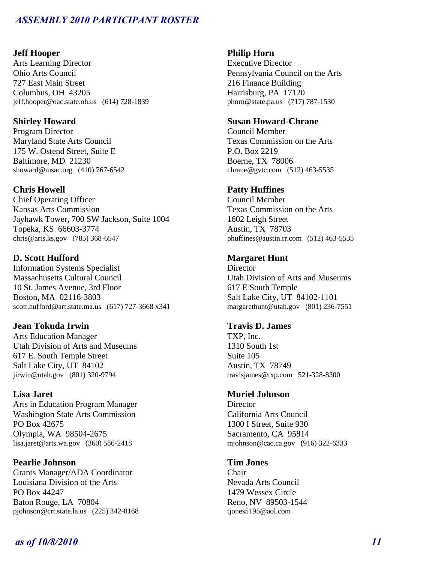### **Jeff Hooper**

Arts Learning Director Ohio Arts Council 727 East Main Street Columbus, OH 43205 jeff.hooper@oac.state.oh.us (614) 728-1839

## **Shirley Howard**

Program Director Maryland State Arts Council 175 W. Ostend Street, Suite E Baltimore, MD 21230 showard@msac.org (410) 767-6542

## **Chris Howell**

Chief Operating Officer Kansas Arts Commission Jayhawk Tower, 700 SW Jackson, Suite 1004 Topeka, KS 66603-3774 chris@arts.ks.gov (785) 368-6547

## **D. Scott Hufford**

Information Systems Specialist Massachusetts Cultural Council 10 St. James Avenue, 3rd Floor Boston, MA 02116-3803 scott.hufford@art.state.ma.us (617) 727-3668 x341

## **Jean Tokuda Irwin**

Arts Education Manager Utah Division of Arts and Museums 617 E. South Temple Street Salt Lake City, UT 84102 jirwin@utah.gov (801) 320-9794

## **Lisa Jaret**

Arts in Education Program Manager Washington State Arts Commission PO Box 42675 Olympia, WA 98504-2675 lisa.jaret@arts.wa.gov (360) 586-2418

## **Pearlie Johnson**

Grants Manager/ADA Coordinator Louisiana Division of the Arts PO Box 44247 Baton Rouge, LA 70804 pjohnson@crt.state.la.us (225) 342-8168

### **Philip Horn**

Executive Director Pennsylvania Council on the Arts 216 Finance Building Harrisburg, PA 17120 phorn@state.pa.us (717) 787-1530

### **Susan Howard-Chrane**

Council Member Texas Commission on the Arts P.O. Box 2219 Boerne, TX 78006 chrane@gvtc.com (512) 463-5535

## **Patty Huffines**

Council Member Texas Commission on the Arts 1602 Leigh Street Austin, TX 78703 phuffines@austin.rr.com (512) 463-5535

### **Margaret Hunt**

**Director** Utah Division of Arts and Museums 617 E South Temple Salt Lake City, UT 84102-1101 margarethunt@utah.gov (801) 236-7551

## **Travis D. James**

TXP, Inc. 1310 South 1st Suite 105 Austin, TX 78749 travisjames@txp.com 521-328-8300

### **Muriel Johnson**

**Director** California Arts Council 1300 I Street, Suite 930 Sacramento, CA 95814 mjohnson@cac.ca.gov (916) 322-6333

### **Tim Jones**

Chair Nevada Arts Council 1479 Wessex Circle Reno, NV 89503-1544 tjones5195@aol.com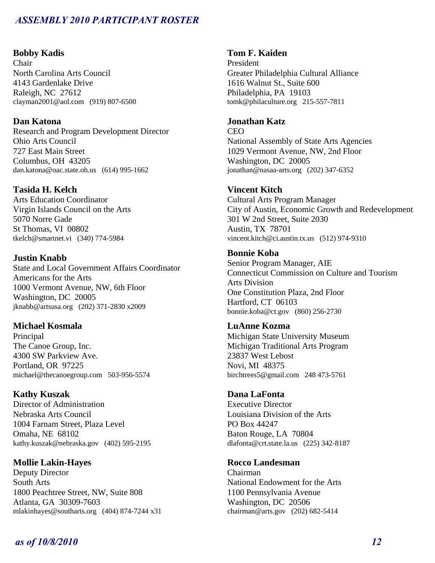### **Bobby Kadis**

Chair North Carolina Arts Council 4143 Gardenlake Drive Raleigh, NC 27612 clayman2001@aol.com (919) 807-6500

## **Dan Katona**

Research and Program Development Director Ohio Arts Council 727 East Main Street Columbus, OH 43205 dan.katona@oac.state.oh.us (614) 995-1662

## **Tasida H. Kelch**

Arts Education Coordinator Virgin Islands Council on the Arts 5070 Norre Gade St Thomas, VI 00802 tkelch@smartnet.vi (340) 774-5984

**Justin Knabb**  State and Local Government Affairs Coordinator Americans for the Arts 1000 Vermont Avenue, NW, 6th Floor Washington, DC 20005 jknabb@artsusa.org (202) 371-2830 x2009

## **Michael Kosmala**

Principal The Canoe Group, Inc. 4300 SW Parkview Ave. Portland, OR 97225 michael@thecanoegroup.com 503-956-5574

## **Kathy Kuszak**

Director of Administration Nebraska Arts Council 1004 Farnam Street, Plaza Level Omaha, NE 68102 kathy.kuszak@nebraska.gov (402) 595-2195

## **Mollie Lakin-Hayes**

Deputy Director South Arts 1800 Peachtree Street, NW, Suite 808 Atlanta, GA 30309-7603 mlakinhayes@southarts.org (404) 874-7244 x31

## **Tom F. Kaiden**

President Greater Philadelphia Cultural Alliance 1616 Walnut St., Suite 600 Philadelphia, PA 19103 tomk@philaculture.org 215-557-7811

## **Jonathan Katz**

CEO National Assembly of State Arts Agencies 1029 Vermont Avenue, NW, 2nd Floor Washington, DC 20005 jonathan@nasaa-arts.org (202) 347-6352

## **Vincent Kitch**

Cultural Arts Program Manager City of Austin, Economic Growth and Redevelopment 301 W 2nd Street, Suite 2030 Austin, TX 78701 vincent.kitch@ci.austin.tx.us (512) 974-9310

## **Bonnie Koba**

Senior Program Manager, AIE Connecticut Commission on Culture and Tourism Arts Division One Constitution Plaza, 2nd Floor Hartford, CT 06103 bonnie.koba@ct.gov (860) 256-2730

### **LuAnne Kozma**

Michigan State University Museum Michigan Traditional Arts Program 23837 West Lebost Novi, MI 48375 birchtrees5@gmail.com 248 473-5761

## **Dana LaFonta**

Executive Director Louisiana Division of the Arts PO Box 44247 Baton Rouge, LA 70804 dlafonta@crt.state.la.us (225) 342-8187

## **Rocco Landesman**

Chairman National Endowment for the Arts 1100 Pennsylvania Avenue Washington, DC 20506 chairman@arts.gov (202) 682-5414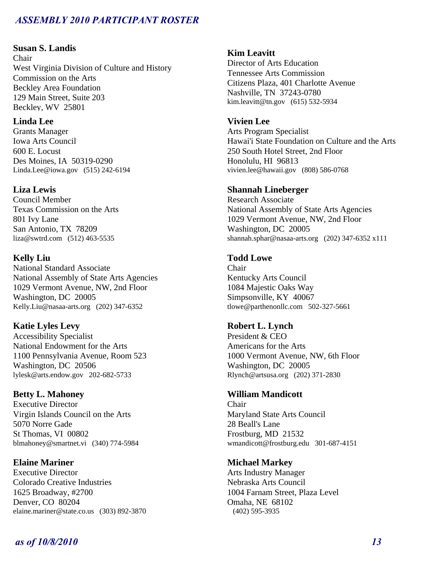## **Susan S. Landis**

Chair West Virginia Division of Culture and History Commission on the Arts Beckley Area Foundation 129 Main Street, Suite 203 Beckley, WV 25801

## **Linda Lee**

Grants Manager Iowa Arts Council 600 E. Locust Des Moines, IA 50319-0290 Linda.Lee@iowa.gov (515) 242-6194

## **Liza Lewis**

Council Member Texas Commission on the Arts 801 Ivy Lane San Antonio, TX 78209 liza@swtrd.com (512) 463-5535

## **Kelly Liu**

National Standard Associate National Assembly of State Arts Agencies 1029 Vermont Avenue, NW, 2nd Floor Washington, DC 20005 Kelly.Liu@nasaa-arts.org (202) 347-6352

## **Katie Lyles Levy**

Accessibility Specialist National Endowment for the Arts 1100 Pennsylvania Avenue, Room 523 Washington, DC 20506 lylesk@arts.endow.gov 202-682-5733

## **Betty L. Mahoney**

Executive Director Virgin Islands Council on the Arts 5070 Norre Gade St Thomas, VI 00802 blmahoney@smartnet.vi (340) 774-5984

## **Elaine Mariner**

Executive Director Colorado Creative Industries 1625 Broadway, #2700 Denver, CO 80204 elaine.mariner@state.co.us (303) 892-3870

## **Kim Leavitt**

Director of Arts Education Tennessee Arts Commission Citizens Plaza, 401 Charlotte Avenue Nashville, TN 37243-0780 kim.leavitt@tn.gov (615) 532-5934

## **Vivien Lee**

Arts Program Specialist Hawai'i State Foundation on Culture and the Arts 250 South Hotel Street, 2nd Floor Honolulu, HI 96813 vivien.lee@hawaii.gov (808) 586-0768

## **Shannah Lineberger**

Research Associate National Assembly of State Arts Agencies 1029 Vermont Avenue, NW, 2nd Floor Washington, DC 20005 shannah.sphar@nasaa-arts.org (202) 347-6352 x111

## **Todd Lowe**

Chair Kentucky Arts Council 1084 Majestic Oaks Way Simpsonville, KY 40067 tlowe@parthenonllc.com 502-327-5661

## **Robert L. Lynch**

President & CEO Americans for the Arts 1000 Vermont Avenue, NW, 6th Floor Washington, DC 20005 Rlynch@artsusa.org (202) 371-2830

## **William Mandicott**

Chair Maryland State Arts Council 28 Beall's Lane Frostburg, MD 21532 wmandicott@frostburg.edu 301-687-4151

## **Michael Markey**

Arts Industry Manager Nebraska Arts Council 1004 Farnam Street, Plaza Level Omaha, NE 68102 (402) 595-3935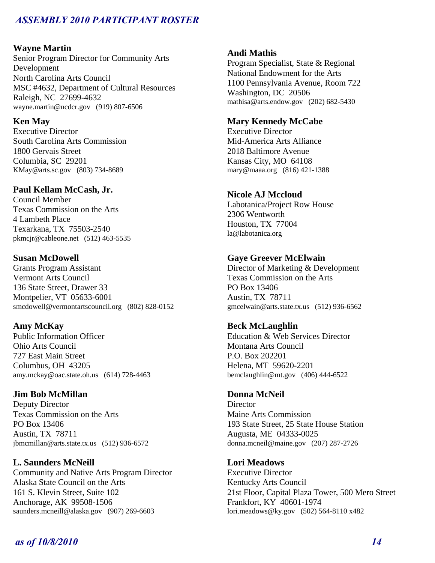## **Wayne Martin**

Senior Program Director for Community Arts Development North Carolina Arts Council MSC #4632, Department of Cultural Resources Raleigh, NC 27699-4632 wayne.martin@ncdcr.gov (919) 807-6506

## **Ken May**

Executive Director South Carolina Arts Commission 1800 Gervais Street Columbia, SC 29201 KMay@arts.sc.gov (803) 734-8689

## **Paul Kellam McCash, Jr.**

Council Member Texas Commission on the Arts 4 Lambeth Place Texarkana, TX 75503-2540 pkmcjr@cableone.net (512) 463-5535

## **Susan McDowell**

Grants Program Assistant Vermont Arts Council 136 State Street, Drawer 33 Montpelier, VT 05633-6001 smcdowell@vermontartscouncil.org (802) 828-0152

## **Amy McKay**

Public Information Officer Ohio Arts Council 727 East Main Street Columbus, OH 43205 amy.mckay@oac.state.oh.us (614) 728-4463

## **Jim Bob McMillan**

Deputy Director Texas Commission on the Arts PO Box 13406 Austin, TX 78711 jbmcmillan@arts.state.tx.us (512) 936-6572

## **L. Saunders McNeill**

Community and Native Arts Program Director Alaska State Council on the Arts 161 S. Klevin Street, Suite 102 Anchorage, AK 99508-1506 saunders.mcneill@alaska.gov (907) 269-6603

### **Andi Mathis**

Program Specialist, State & Regional National Endowment for the Arts 1100 Pennsylvania Avenue, Room 722 Washington, DC 20506 mathisa@arts.endow.gov (202) 682-5430

## **Mary Kennedy McCabe**

Executive Director Mid-America Arts Alliance 2018 Baltimore Avenue Kansas City, MO 64108 mary@maaa.org (816) 421-1388

### **Nicole AJ Mccloud**

Labotanica/Project Row House 2306 Wentworth Houston, TX 77004 la@labotanica.org

### **Gaye Greever McElwain**

Director of Marketing & Development Texas Commission on the Arts PO Box 13406 Austin, TX 78711 gmcelwain@arts.state.tx.us (512) 936-6562

### **Beck McLaughlin**

Education & Web Services Director Montana Arts Council P.O. Box 202201 Helena, MT 59620-2201 bemclaughlin@mt.gov (406) 444-6522

### **Donna McNeil**

**Director** Maine Arts Commission 193 State Street, 25 State House Station Augusta, ME 04333-0025 donna.mcneil@maine.gov (207) 287-2726

### **Lori Meadows**

Executive Director Kentucky Arts Council 21st Floor, Capital Plaza Tower, 500 Mero Street Frankfort, KY 40601-1974 lori.meadows@ky.gov (502) 564-8110 x482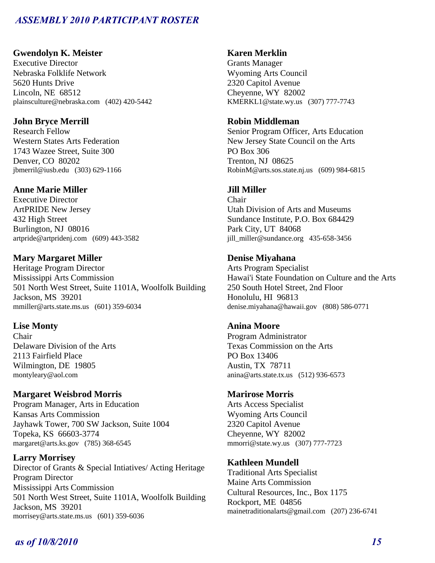## **Gwendolyn K. Meister**

Executive Director Nebraska Folklife Network 5620 Hunts Drive Lincoln, NE 68512 plainsculture@nebraska.com (402) 420-5442

## **John Bryce Merrill**

Research Fellow Western States Arts Federation 1743 Wazee Street, Suite 300 Denver, CO 80202 jbmerril@iusb.edu (303) 629-1166

## **Anne Marie Miller**

Executive Director ArtPRIDE New Jersey 432 High Street Burlington, NJ 08016 artpride@artpridenj.com (609) 443-3582

## **Mary Margaret Miller**

Heritage Program Director Mississippi Arts Commission 501 North West Street, Suite 1101A, Woolfolk Building Jackson, MS 39201 mmiller@arts.state.ms.us (601) 359-6034

## **Lise Monty**

Chair Delaware Division of the Arts 2113 Fairfield Place Wilmington, DE 19805 montyleary@aol.com

# **Margaret Weisbrod Morris**

Program Manager, Arts in Education Kansas Arts Commission Jayhawk Tower, 700 SW Jackson, Suite 1004 Topeka, KS 66603-3774 margaret@arts.ks.gov (785) 368-6545

## **Larry Morrisey**

Director of Grants & Special Intiatives/ Acting Heritage Program Director Mississippi Arts Commission 501 North West Street, Suite 1101A, Woolfolk Building Jackson, MS 39201 morrisey@arts.state.ms.us (601) 359-6036

## **Karen Merklin**

Grants Manager Wyoming Arts Council 2320 Capitol Avenue Cheyenne, WY 82002 KMERKL1@state.wy.us (307) 777-7743

## **Robin Middleman**

Senior Program Officer, Arts Education New Jersey State Council on the Arts PO Box 306 Trenton, NJ 08625 RobinM@arts.sos.state.nj.us (609) 984-6815

## **Jill Miller**

Chair Utah Division of Arts and Museums Sundance Institute, P.O. Box 684429 Park City, UT 84068 jill\_miller@sundance.org 435-658-3456

## **Denise Miyahana**

Arts Program Specialist Hawai'i State Foundation on Culture and the Arts 250 South Hotel Street, 2nd Floor Honolulu, HI 96813 denise.miyahana@hawaii.gov (808) 586-0771

## **Anina Moore**

Program Administrator Texas Commission on the Arts PO Box 13406 Austin, TX 78711 anina@arts.state.tx.us (512) 936-6573

## **Marirose Morris**

Arts Access Specialist Wyoming Arts Council 2320 Capitol Avenue Cheyenne, WY 82002 mmorri@state.wy.us (307) 777-7723

## **Kathleen Mundell**

Traditional Arts Specialist Maine Arts Commission Cultural Resources, Inc., Box 1175 Rockport, ME 04856 mainetraditionalarts@gmail.com (207) 236-6741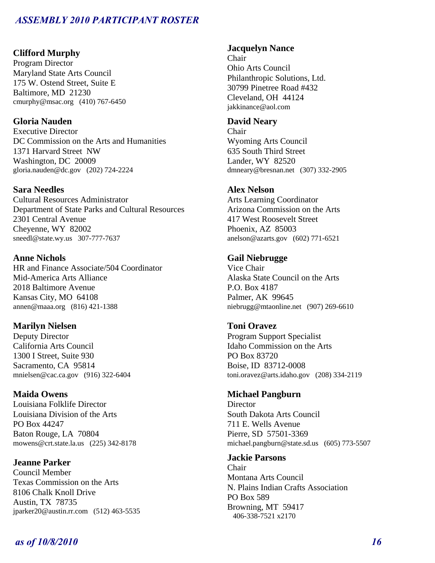### **Clifford Murphy**

Program Director Maryland State Arts Council 175 W. Ostend Street, Suite E Baltimore, MD 21230 cmurphy@msac.org (410) 767-6450

## **Gloria Nauden**

Executive Director DC Commission on the Arts and Humanities 1371 Harvard Street NW Washington, DC 20009 gloria.nauden@dc.gov (202) 724-2224

## **Sara Needles**

Cultural Resources Administrator Department of State Parks and Cultural Resources 2301 Central Avenue Cheyenne, WY 82002 sneedl@state.wy.us 307-777-7637

### **Anne Nichols**

HR and Finance Associate/504 Coordinator Mid-America Arts Alliance 2018 Baltimore Avenue Kansas City, MO 64108 annen@maaa.org (816) 421-1388

### **Marilyn Nielsen**

Deputy Director California Arts Council 1300 I Street, Suite 930 Sacramento, CA 95814 mnielsen@cac.ca.gov (916) 322-6404

#### **Maida Owens**

Louisiana Folklife Director Louisiana Division of the Arts PO Box 44247 Baton Rouge, LA 70804 mowens@crt.state.la.us (225) 342-8178

## **Jeanne Parker**

Council Member Texas Commission on the Arts 8106 Chalk Knoll Drive Austin, TX 78735 jparker20@austin.rr.com (512) 463-5535

## **Jacquelyn Nance**

Chair Ohio Arts Council Philanthropic Solutions, Ltd. 30799 Pinetree Road #432 Cleveland, OH 44124 jakkinance@aol.com

## **David Neary**

Chair Wyoming Arts Council 635 South Third Street Lander, WY 82520 dmneary@bresnan.net (307) 332-2905

#### **Alex Nelson**

Arts Learning Coordinator Arizona Commission on the Arts 417 West Roosevelt Street Phoenix, AZ 85003 anelson@azarts.gov (602) 771-6521

### **Gail Niebrugge**

Vice Chair Alaska State Council on the Arts P.O. Box 4187 Palmer, AK 99645 niebrugg@mtaonline.net (907) 269-6610

### **Toni Oravez**

Program Support Specialist Idaho Commission on the Arts PO Box 83720 Boise, ID 83712-0008 toni.oravez@arts.idaho.gov (208) 334-2119

### **Michael Pangburn**

**Director** South Dakota Arts Council 711 E. Wells Avenue Pierre, SD 57501-3369 michael.pangburn@state.sd.us (605) 773-5507

**Jackie Parsons** 

Chair Montana Arts Council N. Plains Indian Crafts Association PO Box 589 Browning, MT 59417 406-338-7521 x2170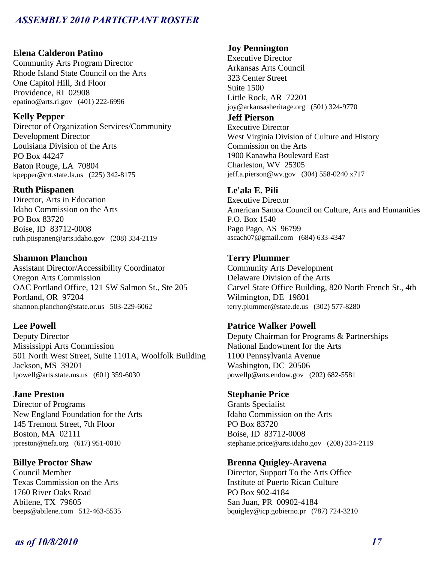## **Elena Calderon Patino**

Community Arts Program Director Rhode Island State Council on the Arts One Capitol Hill, 3rd Floor Providence, RI 02908 epatino@arts.ri.gov (401) 222-6996

## **Kelly Pepper**

Director of Organization Services/Community Development Director Louisiana Division of the Arts PO Box 44247 Baton Rouge, LA 70804 kpepper@crt.state.la.us (225) 342-8175

## **Ruth Piispanen**

Director, Arts in Education Idaho Commission on the Arts PO Box 83720 Boise, ID 83712-0008 ruth.piispanen@arts.idaho.gov (208) 334-2119

# **Shannon Planchon**

Assistant Director/Accessibility Coordinator Oregon Arts Commission OAC Portland Office, 121 SW Salmon St., Ste 205 Portland, OR 97204 shannon.planchon@state.or.us 503-229-6062

## **Lee Powell**

Deputy Director Mississippi Arts Commission 501 North West Street, Suite 1101A, Woolfolk Building Jackson, MS 39201 lpowell@arts.state.ms.us (601) 359-6030

## **Jane Preston**

Director of Programs New England Foundation for the Arts 145 Tremont Street, 7th Floor Boston, MA 02111 jpreston@nefa.org (617) 951-0010

## **Billye Proctor Shaw**

Council Member Texas Commission on the Arts 1760 River Oaks Road Abilene, TX 79605 beeps@abilene.com 512-463-5535

## **Joy Pennington**

Executive Director Arkansas Arts Council 323 Center Street Suite 1500 Little Rock, AR 72201 joy@arkansasheritage.org (501) 324-9770

## **Jeff Pierson**

Executive Director West Virginia Division of Culture and History Commission on the Arts 1900 Kanawha Boulevard East Charleston, WV 25305 jeff.a.pierson@wv.gov (304) 558-0240 x717

## **Le'ala E. Pili**

Executive Director American Samoa Council on Culture, Arts and Humanities P.O. Box 1540 Pago Pago, AS 96799 ascach07@gmail.com (684) 633-4347

## **Terry Plummer**

Community Arts Development Delaware Division of the Arts Carvel State Office Building, 820 North French St., 4th Wilmington, DE 19801 terry.plummer@state.de.us (302) 577-8280

## **Patrice Walker Powell**

Deputy Chairman for Programs & Partnerships National Endowment for the Arts 1100 Pennsylvania Avenue Washington, DC 20506 powellp@arts.endow.gov (202) 682-5581

## **Stephanie Price**

Grants Specialist Idaho Commission on the Arts PO Box 83720 Boise, ID 83712-0008 stephanie.price@arts.idaho.gov (208) 334-2119

## **Brenna Quigley-Aravena**

Director, Support To the Arts Office Institute of Puerto Rican Culture PO Box 902-4184 San Juan, PR 00902-4184 bquigley@icp.gobierno.pr (787) 724-3210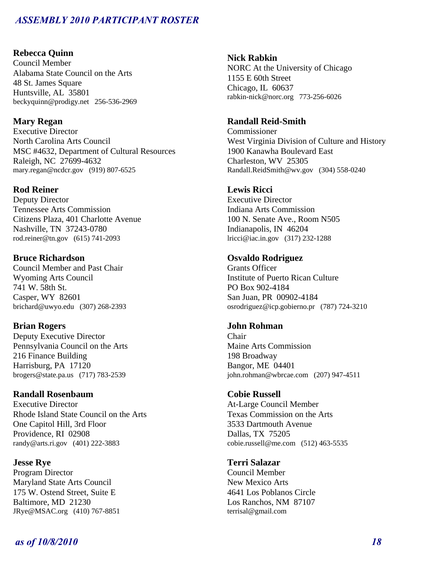## **Rebecca Quinn**

Council Member Alabama State Council on the Arts 48 St. James Square Huntsville, AL 35801 beckyquinn@prodigy.net 256-536-2969

### **Mary Regan**

Executive Director North Carolina Arts Council MSC #4632, Department of Cultural Resources Raleigh, NC 27699-4632 mary.regan@ncdcr.gov (919) 807-6525

### **Rod Reiner**

Deputy Director Tennessee Arts Commission Citizens Plaza, 401 Charlotte Avenue Nashville, TN 37243-0780 rod.reiner@tn.gov (615) 741-2093

### **Bruce Richardson**

Council Member and Past Chair Wyoming Arts Council 741 W. 58th St. Casper, WY 82601 brichard@uwyo.edu (307) 268-2393

### **Brian Rogers**

Deputy Executive Director Pennsylvania Council on the Arts 216 Finance Building Harrisburg, PA 17120 brogers@state.pa.us (717) 783-2539

### **Randall Rosenbaum**

Executive Director Rhode Island State Council on the Arts One Capitol Hill, 3rd Floor Providence, RI 02908 randy@arts.ri.gov (401) 222-3883

### **Jesse Rye**

Program Director Maryland State Arts Council 175 W. Ostend Street, Suite E Baltimore, MD 21230 JRye@MSAC.org (410) 767-8851

### **Nick Rabkin**

NORC At the University of Chicago 1155 E 60th Street Chicago, IL 60637 rabkin-nick@norc.org 773-256-6026

### **Randall Reid-Smith**

Commissioner West Virginia Division of Culture and History 1900 Kanawha Boulevard East Charleston, WV 25305 Randall.ReidSmith@wv.gov (304) 558-0240

### **Lewis Ricci**

Executive Director Indiana Arts Commission 100 N. Senate Ave., Room N505 Indianapolis, IN 46204 lricci@iac.in.gov (317) 232-1288

## **Osvaldo Rodriguez**

Grants Officer Institute of Puerto Rican Culture PO Box 902-4184 San Juan, PR 00902-4184 osrodriguez@icp.gobierno.pr (787) 724-3210

### **John Rohman**

Chair Maine Arts Commission 198 Broadway Bangor, ME 04401 john.rohman@wbrcae.com (207) 947-4511

#### **Cobie Russell**

At-Large Council Member Texas Commission on the Arts 3533 Dartmouth Avenue Dallas, TX 75205 cobie.russell@me.com (512) 463-5535

## **Terri Salazar**

Council Member New Mexico Arts 4641 Los Poblanos Circle Los Ranchos, NM 87107 terrisal@gmail.com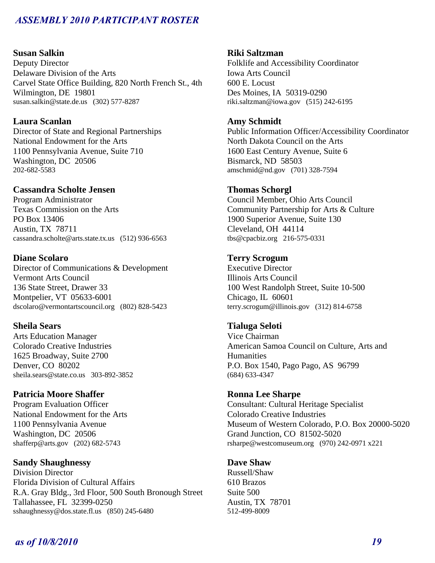## **Susan Salkin**

Deputy Director Delaware Division of the Arts Carvel State Office Building, 820 North French St., 4th Wilmington, DE 19801 susan.salkin@state.de.us (302) 577-8287

## **Laura Scanlan**

Director of State and Regional Partnerships National Endowment for the Arts 1100 Pennsylvania Avenue, Suite 710 Washington, DC 20506 202-682-5583

### **Cassandra Scholte Jensen**

Program Administrator Texas Commission on the Arts PO Box 13406 Austin, TX 78711 cassandra.scholte@arts.state.tx.us (512) 936-6563

## **Diane Scolaro**

Director of Communications & Development Vermont Arts Council 136 State Street, Drawer 33 Montpelier, VT 05633-6001 dscolaro@vermontartscouncil.org (802) 828-5423

### **Sheila Sears**

Arts Education Manager Colorado Creative Industries 1625 Broadway, Suite 2700 Denver, CO 80202 sheila.sears@state.co.us 303-892-3852

### **Patricia Moore Shaffer**

Program Evaluation Officer National Endowment for the Arts 1100 Pennsylvania Avenue Washington, DC 20506 shafferp@arts.gov (202) 682-5743

## **Sandy Shaughnessy**

Division Director Florida Division of Cultural Affairs R.A. Gray Bldg., 3rd Floor, 500 South Bronough Street Tallahassee, FL 32399-0250 sshaughnessy@dos.state.fl.us (850) 245-6480

#### **Riki Saltzman**

Folklife and Accessibility Coordinator Iowa Arts Council 600 E. Locust Des Moines, IA 50319-0290 riki.saltzman@iowa.gov (515) 242-6195

#### **Amy Schmidt**

Public Information Officer/Accessibility Coordinator North Dakota Council on the Arts 1600 East Century Avenue, Suite 6 Bismarck, ND 58503 amschmid@nd.gov (701) 328-7594

### **Thomas Schorgl**

Council Member, Ohio Arts Council Community Partnership for Arts & Culture 1900 Superior Avenue, Suite 130 Cleveland, OH 44114 tbs@cpacbiz.org 216-575-0331

## **Terry Scrogum**

Executive Director Illinois Arts Council 100 West Randolph Street, Suite 10-500 Chicago, IL 60601 terry.scrogum@illinois.gov (312) 814-6758

### **Tialuga Seloti**

Vice Chairman American Samoa Council on Culture, Arts and **Humanities** P.O. Box 1540, Pago Pago, AS 96799 (684) 633-4347

#### **Ronna Lee Sharpe**

Consultant: Cultural Heritage Specialist Colorado Creative Industries Museum of Western Colorado, P.O. Box 20000-5020 Grand Junction, CO 81502-5020 rsharpe@westcomuseum.org (970) 242-0971 x221

### **Dave Shaw**

Russell/Shaw 610 Brazos Suite 500 Austin, TX 78701 512-499-8009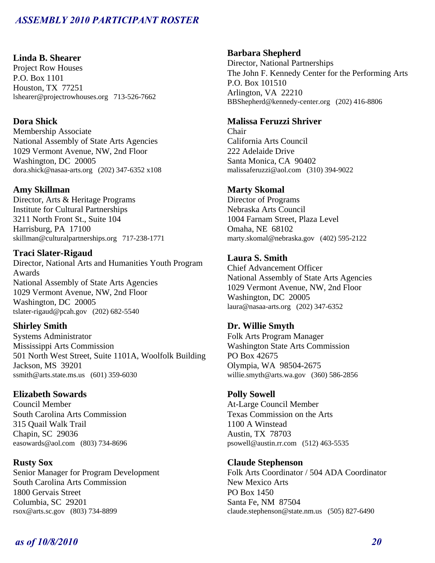## **Linda B. Shearer**

Project Row Houses P.O. Box 1101 Houston, TX 77251 lshearer@projectrowhouses.org 713-526-7662

## **Dora Shick**

Membership Associate National Assembly of State Arts Agencies 1029 Vermont Avenue, NW, 2nd Floor Washington, DC 20005 dora.shick@nasaa-arts.org (202) 347-6352 x108

### **Amy Skillman**

Director, Arts & Heritage Programs Institute for Cultural Partnerships 3211 North Front St., Suite 104 Harrisburg, PA 17100 skillman@culturalpartnerships.org 717-238-1771

## **Traci Slater-Rigaud**

Director, National Arts and Humanities Youth Program Awards National Assembly of State Arts Agencies 1029 Vermont Avenue, NW, 2nd Floor Washington, DC 20005 tslater-rigaud@pcah.gov (202) 682-5540

## **Shirley Smith**

Systems Administrator Mississippi Arts Commission 501 North West Street, Suite 1101A, Woolfolk Building Jackson, MS 39201 ssmith@arts.state.ms.us (601) 359-6030

## **Elizabeth Sowards**

Council Member South Carolina Arts Commission 315 Quail Walk Trail Chapin, SC 29036 easowards@aol.com (803) 734-8696

## **Rusty Sox**

Senior Manager for Program Development South Carolina Arts Commission 1800 Gervais Street Columbia, SC 29201 rsox@arts.sc.gov (803) 734-8899

## **Barbara Shepherd**

Director, National Partnerships The John F. Kennedy Center for the Performing Arts P.O. Box 101510 Arlington, VA 22210 BBShepherd@kennedy-center.org (202) 416-8806

## **Malissa Feruzzi Shriver**

Chair California Arts Council 222 Adelaide Drive Santa Monica, CA 90402 malissaferuzzi@aol.com (310) 394-9022

## **Marty Skomal**

Director of Programs Nebraska Arts Council 1004 Farnam Street, Plaza Level Omaha, NE 68102 marty.skomal@nebraska.gov (402) 595-2122

## **Laura S. Smith**

Chief Advancement Officer National Assembly of State Arts Agencies 1029 Vermont Avenue, NW, 2nd Floor Washington, DC 20005 laura@nasaa-arts.org (202) 347-6352

## **Dr. Willie Smyth**

Folk Arts Program Manager Washington State Arts Commission PO Box 42675 Olympia, WA 98504-2675 willie.smyth@arts.wa.gov (360) 586-2856

### **Polly Sowell**

At-Large Council Member Texas Commission on the Arts 1100 A Winstead Austin, TX 78703 psowell@austin.rr.com (512) 463-5535

## **Claude Stephenson**

Folk Arts Coordinator / 504 ADA Coordinator New Mexico Arts PO Box 1450 Santa Fe, NM 87504 claude.stephenson@state.nm.us (505) 827-6490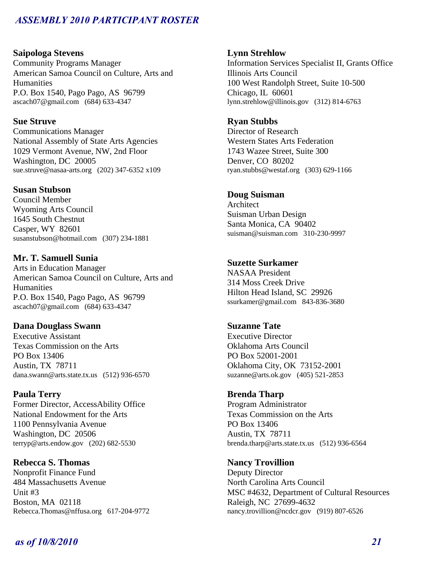### **Saipologa Stevens**

Community Programs Manager American Samoa Council on Culture, Arts and Humanities P.O. Box 1540, Pago Pago, AS 96799 ascach07@gmail.com (684) 633-4347

## **Sue Struve**

Communications Manager National Assembly of State Arts Agencies 1029 Vermont Avenue, NW, 2nd Floor Washington, DC 20005 sue.struve@nasaa-arts.org (202) 347-6352 x109

### **Susan Stubson**

Council Member Wyoming Arts Council 1645 South Chestnut Casper, WY 82601 susanstubson@hotmail.com (307) 234-1881

## **Mr. T. Samuell Sunia**

Arts in Education Manager American Samoa Council on Culture, Arts and **Humanities** P.O. Box 1540, Pago Pago, AS 96799 ascach07@gmail.com (684) 633-4347

### **Dana Douglass Swann**

Executive Assistant Texas Commission on the Arts PO Box 13406 Austin, TX 78711 dana.swann@arts.state.tx.us (512) 936-6570

### **Paula Terry**

Former Director, AccessAbility Office National Endowment for the Arts 1100 Pennsylvania Avenue Washington, DC 20506 terryp@arts.endow.gov (202) 682-5530

**Rebecca S. Thomas**  Nonprofit Finance Fund 484 Massachusetts Avenue Unit #3 Boston, MA 02118 Rebecca.Thomas@nffusa.org 617-204-9772

### **Lynn Strehlow**

Information Services Specialist II, Grants Office Illinois Arts Council 100 West Randolph Street, Suite 10-500 Chicago, IL 60601 lynn.strehlow@illinois.gov (312) 814-6763

## **Ryan Stubbs**

Director of Research Western States Arts Federation 1743 Wazee Street, Suite 300 Denver, CO 80202 ryan.stubbs@westaf.org (303) 629-1166

### **Doug Suisman**

Architect Suisman Urban Design Santa Monica, CA 90402 suisman@suisman.com 310-230-9997

### **Suzette Surkamer**

NASAA President 314 Moss Creek Drive Hilton Head Island, SC 29926 ssurkamer@gmail.com 843-836-3680

## **Suzanne Tate**

Executive Director Oklahoma Arts Council PO Box 52001-2001 Oklahoma City, OK 73152-2001 suzanne@arts.ok.gov (405) 521-2853

### **Brenda Tharp**

Program Administrator Texas Commission on the Arts PO Box 13406 Austin, TX 78711 brenda.tharp@arts.state.tx.us (512) 936-6564

#### **Nancy Trovillion**

Deputy Director North Carolina Arts Council MSC #4632, Department of Cultural Resources Raleigh, NC 27699-4632 nancy.trovillion@ncdcr.gov (919) 807-6526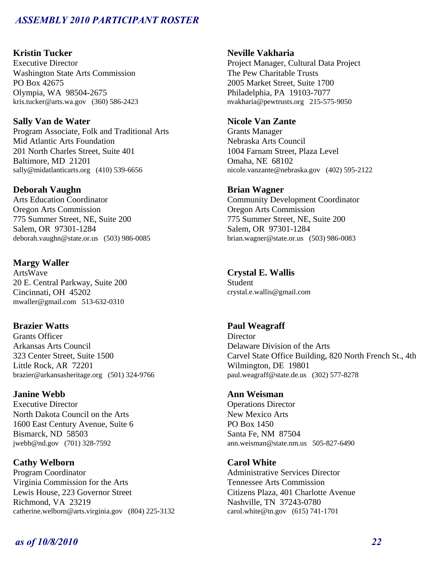## **Kristin Tucker**

Executive Director Washington State Arts Commission PO Box 42675 Olympia, WA 98504-2675 kris.tucker@arts.wa.gov (360) 586-2423

## **Sally Van de Water**

Program Associate, Folk and Traditional Arts Mid Atlantic Arts Foundation 201 North Charles Street, Suite 401 Baltimore, MD 21201 sally@midatlanticarts.org (410) 539-6656

### **Deborah Vaughn**

Arts Education Coordinator Oregon Arts Commission 775 Summer Street, NE, Suite 200 Salem, OR 97301-1284 deborah.vaughn@state.or.us (503) 986-0085

## **Margy Waller**

ArtsWave 20 E. Central Parkway, Suite 200 Cincinnati, OH 45202 mwaller@gmail.com 513-632-0310

### **Brazier Watts**

Grants Officer Arkansas Arts Council 323 Center Street, Suite 1500 Little Rock, AR 72201 brazier@arkansasheritage.org (501) 324-9766

## **Janine Webb**

Executive Director North Dakota Council on the Arts 1600 East Century Avenue, Suite 6 Bismarck, ND 58503 jwebb@nd.gov (701) 328-7592

## **Cathy Welborn**

Program Coordinator Virginia Commission for the Arts Lewis House, 223 Governor Street Richmond, VA 23219 catherine.welborn@arts.virginia.gov (804) 225-3132

### **Neville Vakharia**

Project Manager, Cultural Data Project The Pew Charitable Trusts 2005 Market Street, Suite 1700 Philadelphia, PA 19103-7077 nvakharia@pewtrusts.org 215-575-9050

## **Nicole Van Zante**

Grants Manager Nebraska Arts Council 1004 Farnam Street, Plaza Level Omaha, NE 68102 nicole.vanzante@nebraska.gov (402) 595-2122

### **Brian Wagner**

Community Development Coordinator Oregon Arts Commission 775 Summer Street, NE, Suite 200 Salem, OR 97301-1284 brian.wagner@state.or.us (503) 986-0083

### **Crystal E. Wallis**

Student crystal.e.wallis@gmail.com

## **Paul Weagraff**

**Director** Delaware Division of the Arts Carvel State Office Building, 820 North French St., 4th Wilmington, DE 19801 paul.weagraff@state.de.us (302) 577-8278

#### **Ann Weisman**

Operations Director New Mexico Arts PO Box 1450 Santa Fe, NM 87504 ann.weisman@state.nm.us 505-827-6490

## **Carol White**

Administrative Services Director Tennessee Arts Commission Citizens Plaza, 401 Charlotte Avenue Nashville, TN 37243-0780 carol.white@tn.gov (615) 741-1701